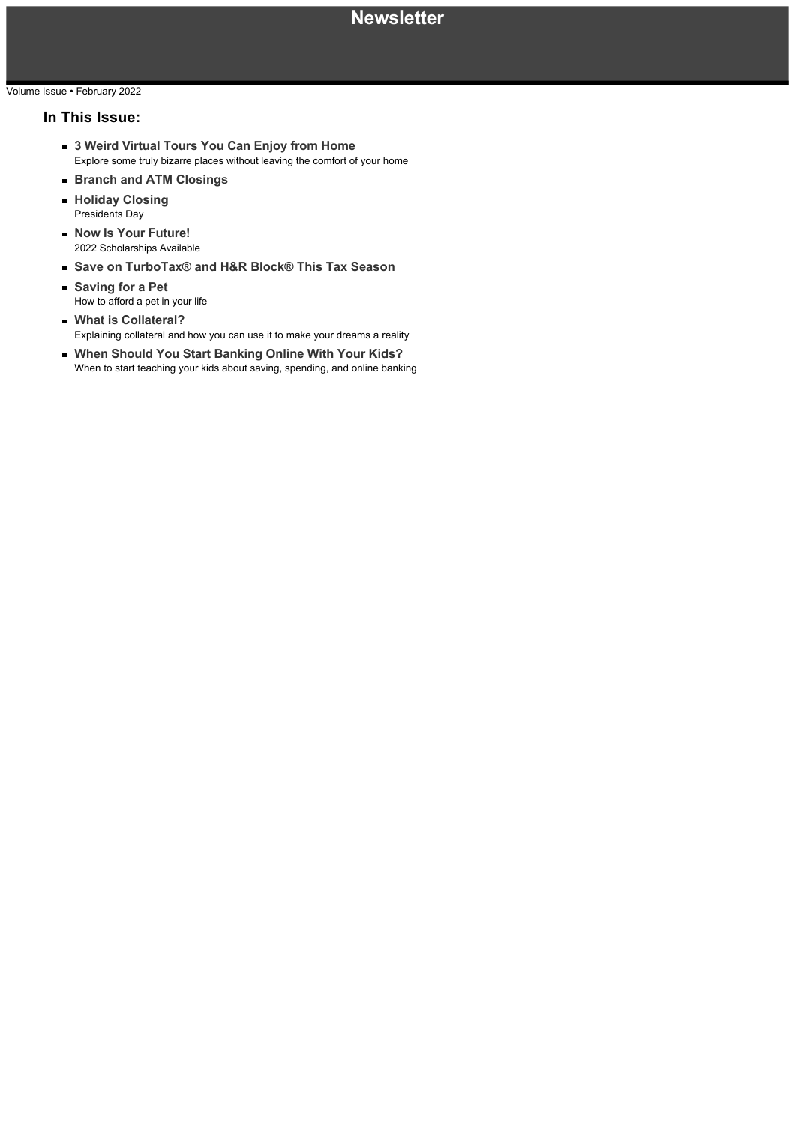## Volume Issue • February 2022

## **In This Issue:**

- **3 Weird Virtual Tours You Can Enjoy from Home** Explore some truly bizarre places without leaving the comfort of your home
- **Branch and ATM Closings**
- **Holiday Closing** Presidents Day
- **Now Is Your Future!** 2022 Scholarships Available
- **Save on TurboTax® and H&R Block® This Tax Season**
- **Saving for a Pet** How to afford a pet in your life
- **What is Collateral?** Explaining collateral and how you can use it to make your dreams a reality
- **When Should You Start Banking Online With Your Kids?** When to start teaching your kids about saving, spending, and online banking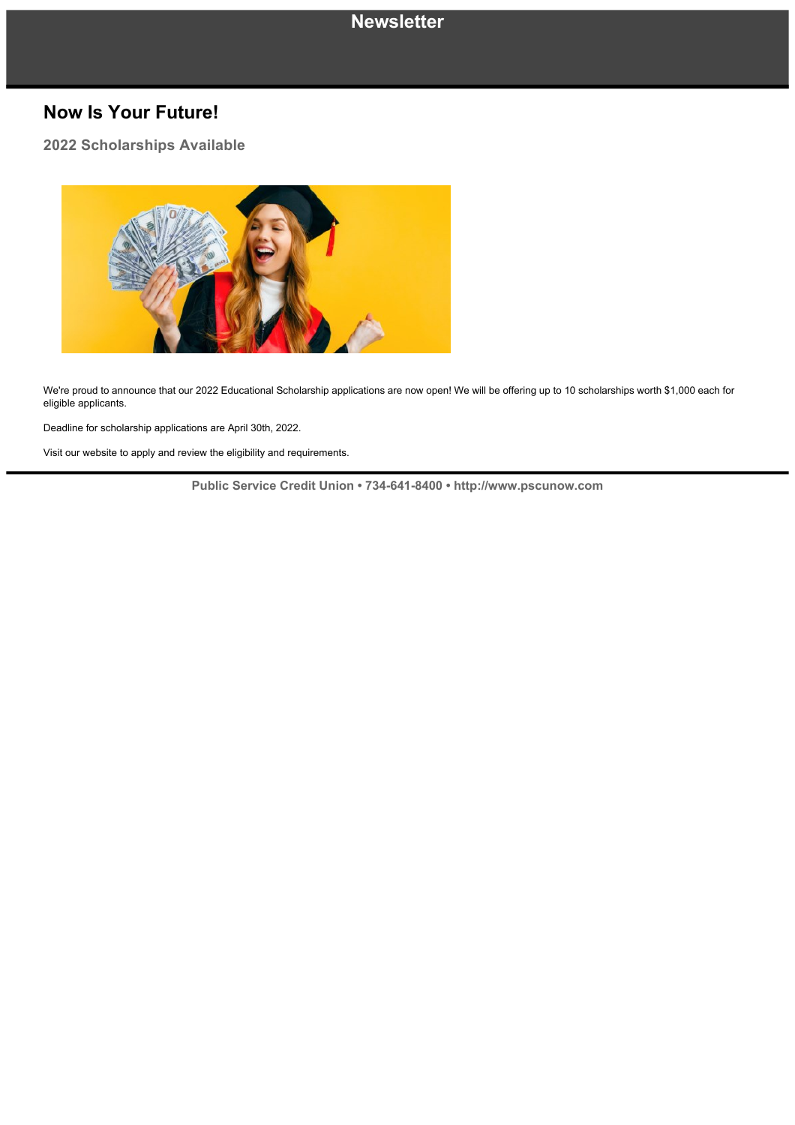## **Now Is Your Future!**

**2022 Scholarships Available**



We're proud to announce that our 2022 Educational Scholarship applications are now open! We will be offering up to 10 scholarships worth \$1,000 each for eligible applicants.

Deadline for scholarship applications are April 30th, 2022.

Visit our website to apply and review the eligibility and requirements.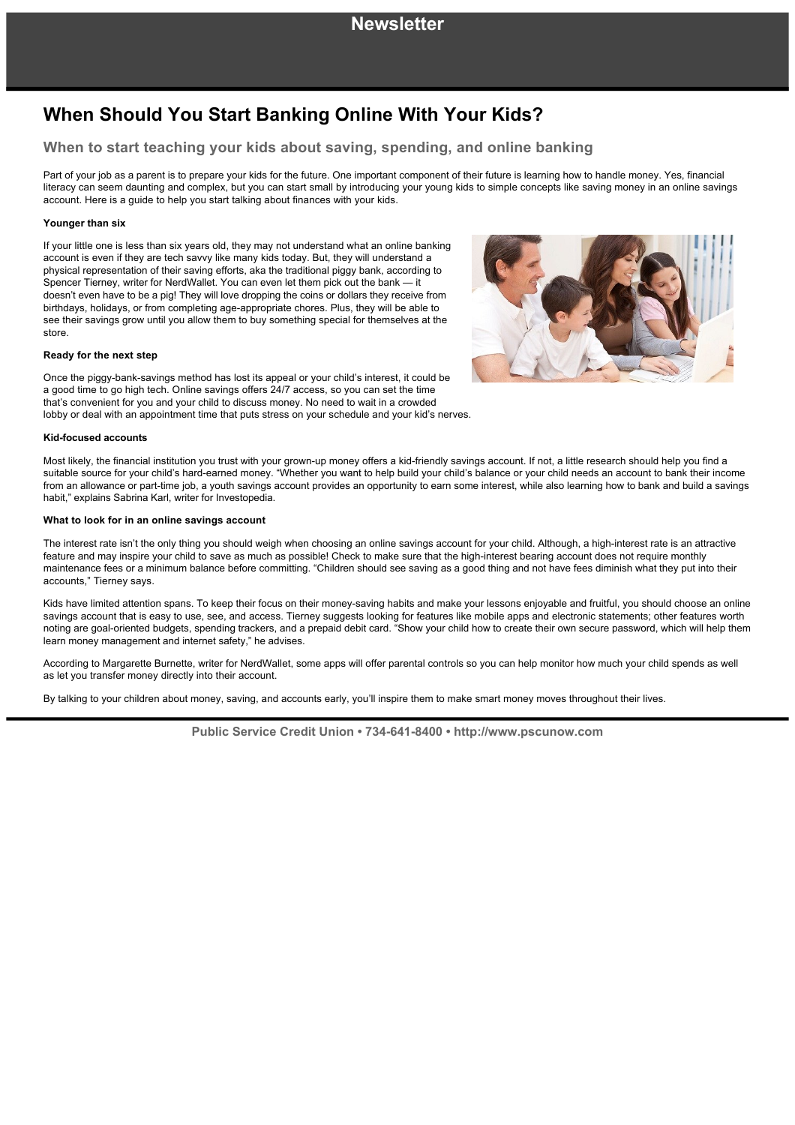# **When Should You Start Banking Online With Your Kids?**

## **When to start teaching your kids about saving, spending, and online banking**

Part of your job as a parent is to prepare your kids for the future. One important component of their future is learning how to handle money. Yes, financial literacy can seem daunting and complex, but you can start small by introducing your young kids to simple concepts like saving money in an online savings account. Here is a guide to help you start talking about finances with your kids.

#### **Younger than six**

If your little one is less than six years old, they may not understand what an online banking account is even if they are tech savvy like many kids today. But, they will understand a physical representation of their saving efforts, aka the traditional piggy bank, according to Spencer Tierney, writer for NerdWallet. You can even let them pick out the bank — it doesn't even have to be a pig! They will love dropping the coins or dollars they receive from birthdays, holidays, or from completing age-appropriate chores. Plus, they will be able to see their savings grow until you allow them to buy something special for themselves at the store.

#### **Ready for the next step**

Once the piggy-bank-savings method has lost its appeal or your child's interest, it could be a good time to go high tech. Online savings offers 24/7 access, so you can set the time that's convenient for you and your child to discuss money. No need to wait in a crowded lobby or deal with an appointment time that puts stress on your schedule and your kid's nerves.



#### **Kid-focused accounts**

Most likely, the financial institution you trust with your grown-up money offers a kid-friendly savings account. If not, a little research should help you find a suitable source for your child's hard-earned money. "Whether you want to help build your child's balance or your child needs an account to bank their income from an allowance or part-time job, a youth savings account provides an opportunity to earn some interest, while also learning how to bank and build a savings habit," explains Sabrina Karl, writer for Investopedia.

#### **What to look for in an online savings account**

The interest rate isn't the only thing you should weigh when choosing an online savings account for your child. Although, a high-interest rate is an attractive feature and may inspire your child to save as much as possible! Check to make sure that the high-interest bearing account does not require monthly maintenance fees or a minimum balance before committing. "Children should see saving as a good thing and not have fees diminish what they put into their accounts," Tierney says.

Kids have limited attention spans. To keep their focus on their moneysaving habits and make your lessons enjoyable and fruitful, you should choose an online savings account that is easy to use, see, and access. Tierney suggests looking for features like mobile apps and electronic statements; other features worth noting are goal-oriented budgets, spending trackers, and a prepaid debit card. "Show your child how to create their own secure password, which will help them learn money management and internet safety," he advises.

According to Margarette Burnette, writer for NerdWallet, some apps will offer parental controls so you can help monitor how much your child spends as well as let you transfer money directly into their account.

By talking to your children about money, saving, and accounts early, you'll inspire them to make smart money moves throughout their lives.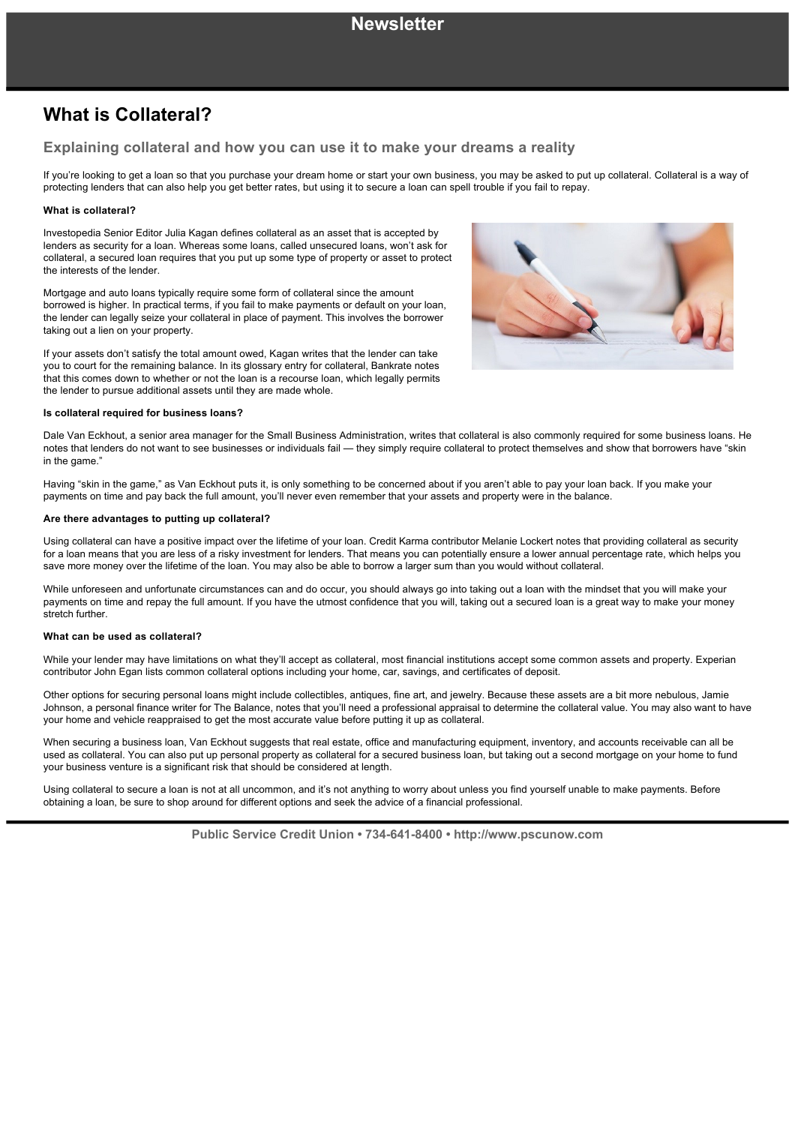# **What is Collateral?**

## **Explaining collateral and how you can use it to make your dreams a reality**

If you're looking to get a loan so that you purchase your dream home or start your own business, you may be asked to put up collateral. Collateral is a way of protecting lenders that can also help you get better rates, but using it to secure a loan can spell trouble if you fail to repay.

## **What is collateral?**

Investopedia Senior Editor Julia Kagan defines collateral as an asset that is accepted by lenders as security for a loan. Whereas some loans, called unsecured loans, won't ask for collateral, a secured loan requires that you put up some type of property or asset to protect the interests of the lender.

Mortgage and auto loans typically require some form of collateral since the amount borrowed is higher. In practical terms, if you fail to make payments or default on your loan, the lender can legally seize your collateral in place of payment. This involves the borrower taking out a lien on your property.

If your assets don't satisfy the total amount owed, Kagan writes that the lender can take you to court for the remaining balance. In its glossary entry for collateral, Bankrate notes that this comes down to whether or not the loan is a recourse loan, which legally permits the lender to pursue additional assets until they are made whole.

#### **Is collateral required for business loans?**

Dale Van Eckhout, a senior area manager for the Small Business Administration, writes that collateral is also commonly required for some business loans. He notes that lenders do not want to see businesses or individuals fail — they simply require collateral to protect themselves and show that borrowers have "skin in the game."

Having "skin in the game," as Van Eckhout puts it, is only something to be concerned about if you aren't able to pay your loan back. If you make your payments on time and pay back the full amount, you'll never even remember that your assets and property were in the balance.

### **Are there advantages to putting up collateral?**

Using collateral can have a positive impact over the lifetime of your loan. Credit Karma contributor Melanie Lockert notes that providing collateral as security for a loan means that you are less of a risky investment for lenders. That means you can potentially ensure a lower annual percentage rate, which helps you save more money over the lifetime of the loan. You may also be able to borrow a larger sum than you would without collateral.

While unforeseen and unfortunate circumstances can and do occur, you should always go into taking out a loan with the mindset that you will make your payments on time and repay the full amount. If you have the utmost confidence that you will, taking out a secured loan is a great way to make your money stretch further.

#### **What can be used as collateral?**

While your lender may have limitations on what they'll accept as collateral, most financial institutions accept some common assets and property. Experian contributor John Egan lists common collateral options including your home, car, savings, and certificates of deposit.

Other options for securing personal loans might include collectibles, antiques, fine art, and iewelry. Because these assets are a bit more nebulous, Jamie Johnson, a personal finance writer for The Balance, notes that you'll need a professional appraisal to determine the collateral value. You may also want to have your home and vehicle reappraised to get the most accurate value before putting it up as collateral.

When securing a business loan, Van Eckhout suggests that real estate, office and manufacturing equipment, inventory, and accounts receivable can all be used as collateral. You can also put up personal property as collateral for a secured business loan, but taking out a second mortgage on your home to fund your business venture is a significant risk that should be considered at length.

Using collateral to secure a loan is not at all uncommon, and it's not anything to worry about unless you find yourself unable to make payments. Before obtaining a loan, be sure to shop around for different options and seek the advice of a financial professional.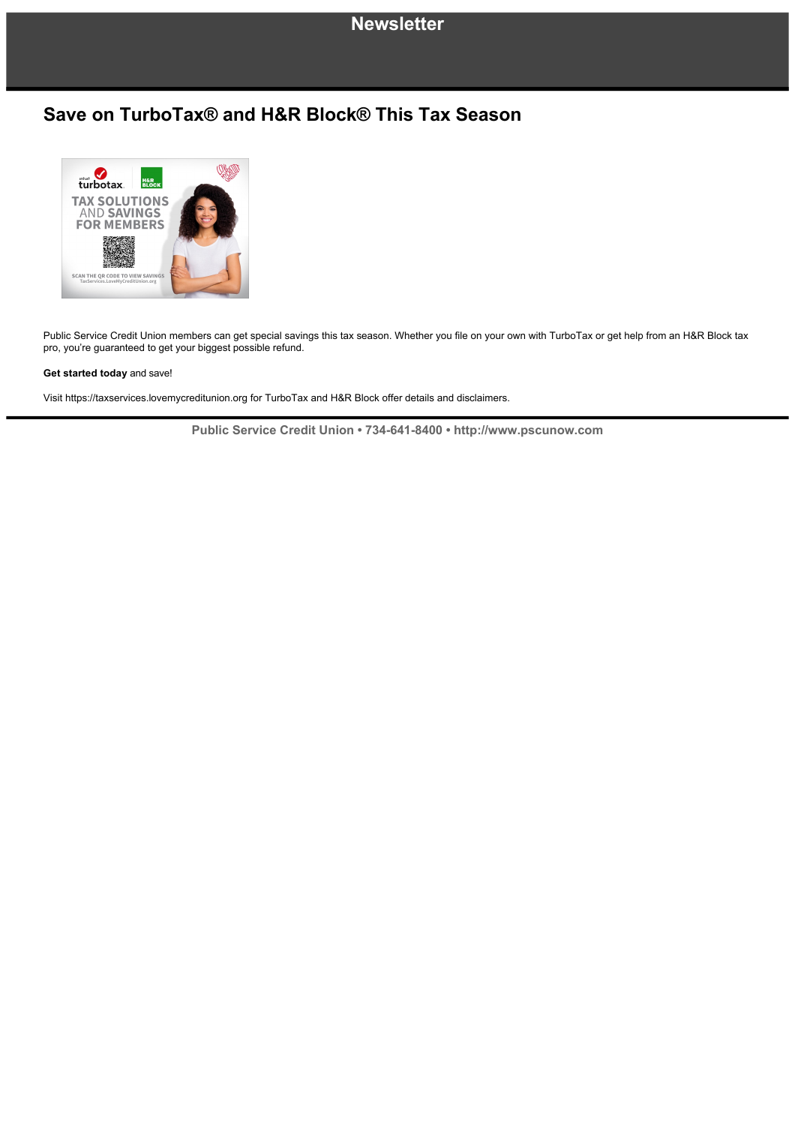## **Newsletter**

## **Save on TurboTax® and H&R Block® This Tax Season**



Public Service Credit Union members can get special savings this tax season. Whether you file on your own with TurboTax or get help from an H&R Block tax pro, you're guaranteed to get your biggest possible refund.

## **Get started today** and save!

Visit https://taxservices.lovemycreditunion.org for TurboTax and H&R Block offer details and disclaimers.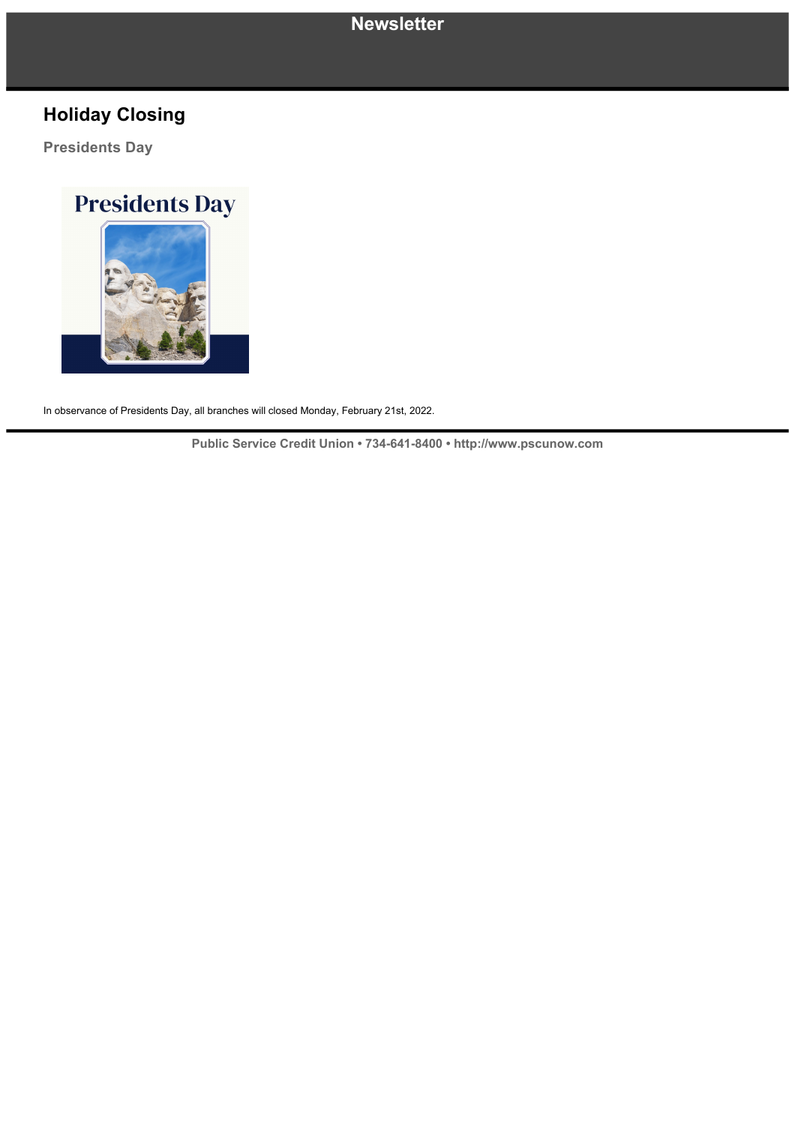# **Newsletter**

# **Holiday Closing**

**Presidents Day**

# **Presidents Day**

In observance of Presidents Day, all branches will closed Monday, February 21st, 2022.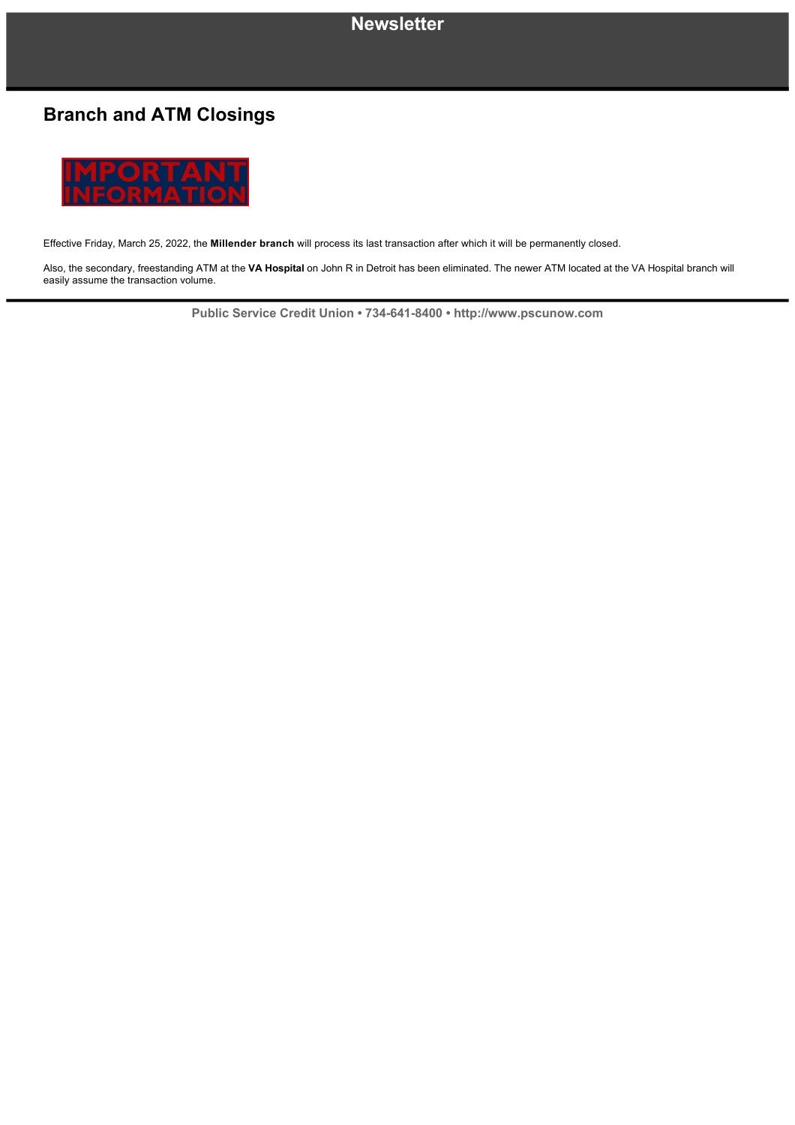## **Newsletter**

# **Branch and ATM Closings**



Effective Friday, March 25, 2022, the **Millender branch** will process its last transaction after which it will be permanently closed.

Also, the secondary, freestanding ATM at the **VA Hospital** on John R in Detroit has been eliminated. The newer ATM located at the VA Hospital branch will easily assume the transaction volume.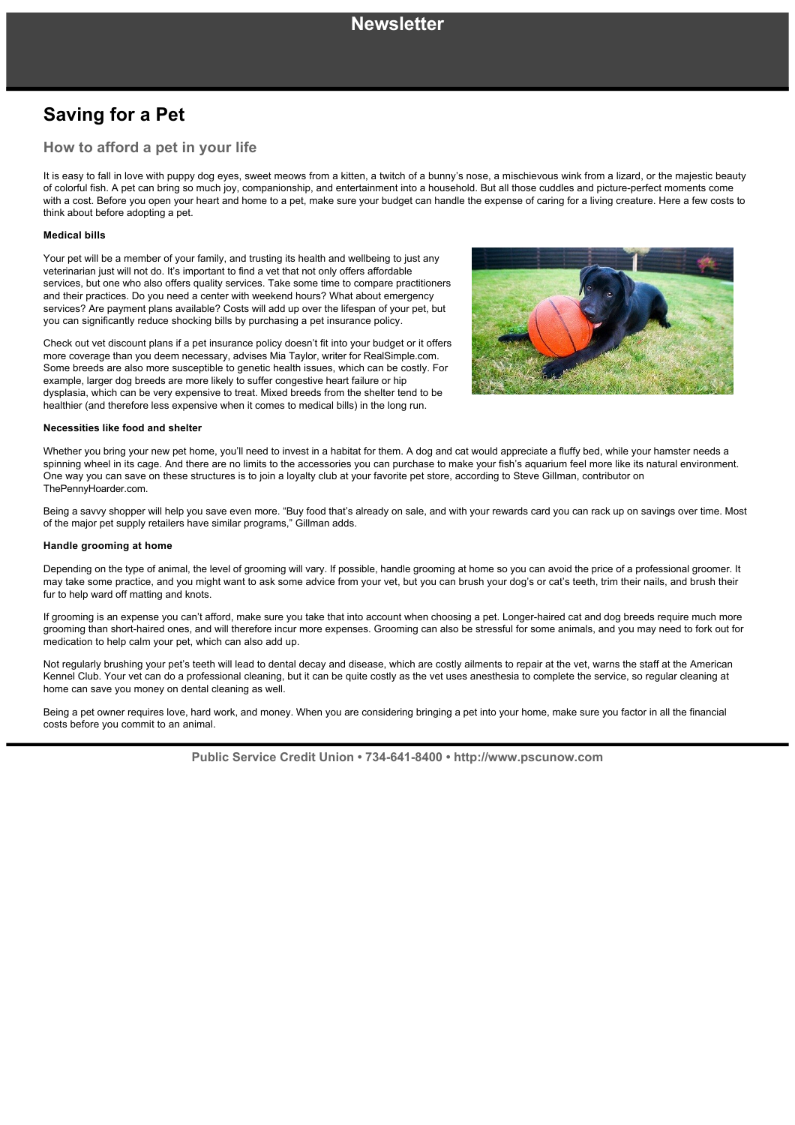# **Saving for a Pet**

## **How to afford a pet in your life**

It is easy to fall in love with puppy dog eyes, sweet meows from a kitten, a twitch of a bunny's nose, a mischievous wink from a lizard, or the majestic beauty of colorful fish. A pet can bring so much joy, companionship, and entertainment into a household. But all those cuddles and picture-perfect moments come with a cost. Before you open your heart and home to a pet, make sure your budget can handle the expense of caring for a living creature. Here a few costs to think about before adopting a pet.

### **Medical bills**

Your pet will be a member of your family, and trusting its health and wellbeing to just any veterinarian just will not do. It's important to find a vet that not only offers affordable services, but one who also offers quality services. Take some time to compare practitioners and their practices. Do you need a center with weekend hours? What about emergency services? Are payment plans available? Costs will add up over the lifespan of your pet, but you can significantly reduce shocking bills by purchasing a pet insurance policy.

Check out vet discount plans if a pet insurance policy doesn't fit into your budget or it offers more coverage than you deem necessary, advises Mia Taylor, writer for RealSimple.com. Some breeds are also more susceptible to genetic health issues, which can be costly. For example, larger dog breeds are more likely to suffer congestive heart failure or hip dysplasia, which can be very expensive to treat. Mixed breeds from the shelter tend to be healthier (and therefore less expensive when it comes to medical bills) in the long run.



#### **Necessities like food and shelter**

Whether you bring your new pet home, you'll need to invest in a habitat for them. A dog and cat would appreciate a fluffy bed, while your hamster needs a spinning wheel in its cage. And there are no limits to the accessories you can purchase to make your fish's aquarium feel more like its natural environment. One way you can save on these structures is to join a loyalty club at your favorite pet store, according to Steve Gillman, contributor on ThePennyHoarder.com.

Being a savvy shopper will help you save even more. "Buy food that's already on sale, and with your rewards card you can rack up on savings over time. Most of the major pet supply retailers have similar programs," Gillman adds.

#### **Handle grooming at home**

Depending on the type of animal, the level of grooming will vary. If possible, handle grooming at home so you can avoid the price of a professional groomer. It may take some practice, and you might want to ask some advice from your vet, but you can brush your dog's or cat's teeth, trim their nails, and brush their fur to help ward off matting and knots.

If grooming is an expense you can't afford, make sure you take that into account when choosing a pet. Longer-haired cat and dog breeds require much more grooming than short-haired ones, and will therefore incur more expenses. Grooming can also be stressful for some animals, and you may need to fork out for medication to help calm your pet, which can also add up.

Not regularly brushing your pet's teeth will lead to dental decay and disease, which are costly ailments to repair at the vet, warns the staff at the American Kennel Club. Your vet can do a professional cleaning, but it can be quite costly as the vet uses anesthesia to complete the service, so regular cleaning at home can save you money on dental cleaning as well.

Being a pet owner requires love, hard work, and money. When you are considering bringing a pet into your home, make sure you factor in all the financial costs before you commit to an animal.